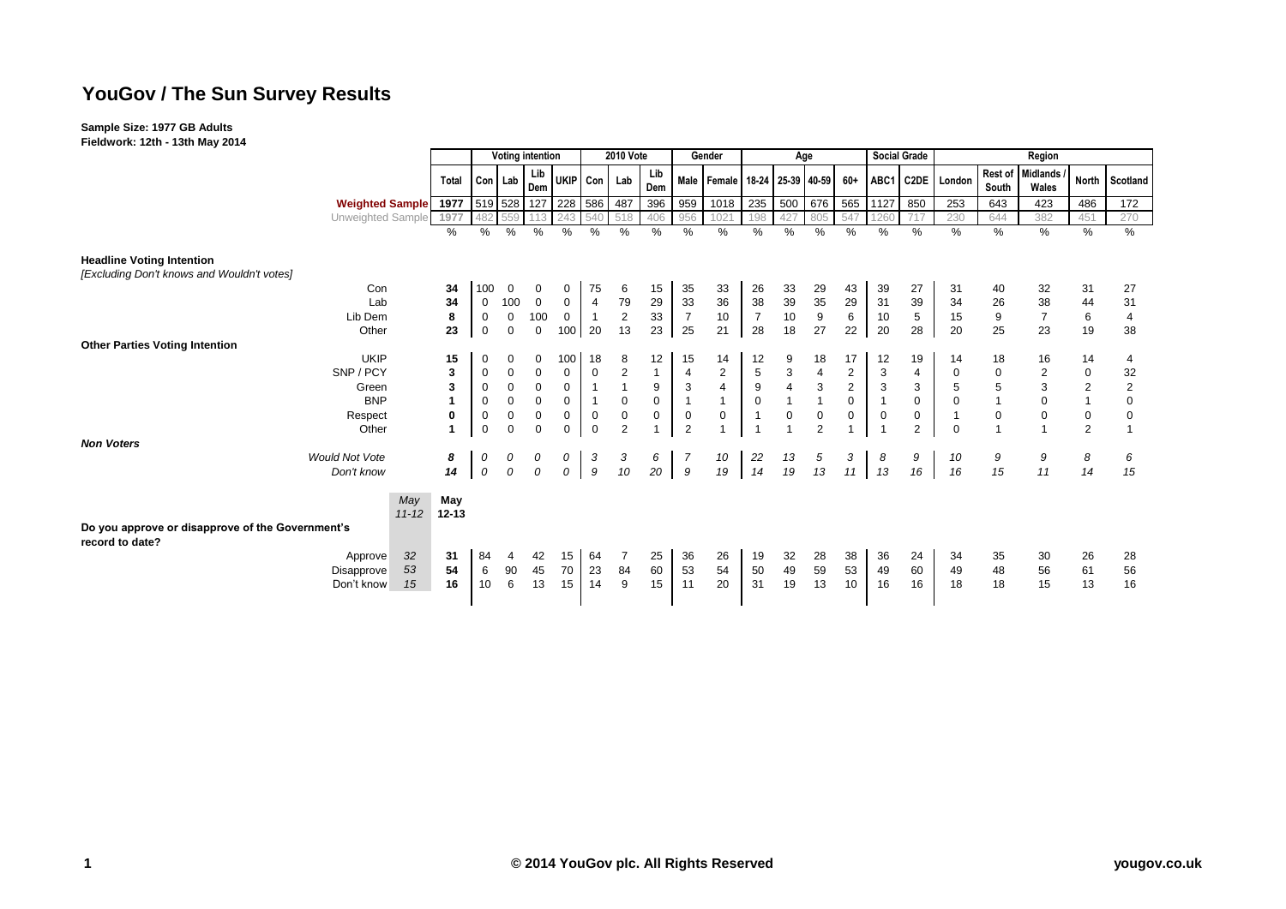# **YouGov / The Sun Survey Results**

#### **Sample Size: 1977 GB Adults**

**Fieldwork: 12th - 13th May 2014**

|                                                                     |                             |                                      | <b>Voting intention</b> |             |               |                     | <b>2010 Vote</b> |                |              | Gender           |                          | Age              |                           |                           |                | <b>Social Grade</b> | Region       |                  |                  |                          |                |                |
|---------------------------------------------------------------------|-----------------------------|--------------------------------------|-------------------------|-------------|---------------|---------------------|------------------|----------------|--------------|------------------|--------------------------|------------------|---------------------------|---------------------------|----------------|---------------------|--------------|------------------|------------------|--------------------------|----------------|----------------|
|                                                                     |                             | Total                                |                         | Con Lab     | Lib<br>Dem    | UKIP Con            |                  | Lab            | Lib<br>Dem   | <b>Male</b>      | Female 18-24 25-39 40-59 |                  |                           |                           | $60+$          |                     |              | ABC1 C2DE London | Rest of<br>South | <b>Midlands</b><br>Wales |                | North Scotland |
|                                                                     | <b>Weighted Sample</b> 1977 |                                      |                         |             |               | 519 528 127 228 586 |                  | 487            | 396          | 959              | 1018                     | 235              | 500                       | 676                       |                | 565 1127            | 850          | 253              | 643              | 423                      | 486            | 172            |
|                                                                     | Unweighted Sample 1977      |                                      | 482                     |             |               | 243                 | 540              | 518            | 406          | 956              | 102                      | 198              | 427                       | 805                       | 547            | 260                 | 717          | 230              | 644              | 382                      | 451            | 270            |
|                                                                     |                             | %                                    | %                       | %           | %             | %                   | %                | %              | %            | %                | %                        | %                | $\%$                      | $\frac{0}{0}$             | %              | $\%$                | %            | %                | $\%$             | %                        | $\%$           | %              |
| <b>Headline Voting Intention</b>                                    |                             |                                      |                         |             |               |                     |                  |                |              |                  |                          |                  |                           |                           |                |                     |              |                  |                  |                          |                |                |
| [Excluding Don't knows and Wouldn't votes]                          |                             |                                      |                         |             |               |                     |                  |                |              |                  |                          |                  |                           |                           |                |                     |              |                  |                  |                          |                |                |
|                                                                     | Con                         | 34                                   | 100                     | 0           | 0             | 0                   | 75               | 6              | 15           | 35               | 33                       | 26               | 33                        | 29                        | 43             | 39                  | 27           | 31               | 40               | 32                       | 31             | 27             |
|                                                                     | Lab                         | 34                                   | 0                       | 100         | $\mathbf 0$   | 0                   | $\overline{4}$   | 79             | 29           | 33               | 36                       | 38               | 39                        | 35                        | 29             | 31                  | 39           | 34               | 26               | 38                       | 44             | 31             |
|                                                                     | Lib Dem                     | 8                                    | $\mathbf 0$             | $\mathbf 0$ | 100           | $\mathbf 0$         | $\overline{1}$   | $\overline{2}$ | 33           | $\overline{7}$   | 10                       | $\overline{7}$   | 10                        | 9                         | 6              | 10                  | 5            | 15               | 9                | $\overline{7}$           | 6              | $\overline{4}$ |
|                                                                     | Other                       | 23                                   | $\boldsymbol{0}$        | 0           | $\mathbf 0$   | 100                 | 20               | 13             | 23           | 25               | 21                       | 28               | 18                        | 27                        | 22             | 20                  | 28           | 20               | 25               | 23                       | 19             | 38             |
| <b>Other Parties Voting Intention</b>                               |                             |                                      |                         |             |               |                     |                  |                |              |                  |                          |                  |                           |                           |                |                     |              |                  |                  |                          |                |                |
|                                                                     | <b>UKIP</b>                 | 15                                   | 0                       | 0           |               | 100                 | 18               | 8              | 12           | 15               | 14                       | 12               | 9                         | 18                        | 17             | 12                  | 19           | 14               | 18               | 16                       | 14             | 4              |
|                                                                     | SNP / PCY                   | 3                                    | 0                       | 0           | $\mathbf 0$   | 0                   | $\mathbf 0$      | $\overline{2}$ | $\mathbf{1}$ | $\overline{4}$   | $\overline{2}$           | $\mathbf 5$      | $\ensuremath{\mathsf{3}}$ | 4                         | $\overline{2}$ | 3                   | 4            | 0                | 0                | $\overline{2}$           | $\mathbf 0$    | 32             |
|                                                                     | Green                       | 3                                    | $\pmb{0}$               | 0           | $\mathbf{0}$  | 0                   |                  |                | 9            | 3                | $\overline{4}$           | $\boldsymbol{9}$ | $\pmb{4}$                 | $\ensuremath{\mathsf{3}}$ | $\sqrt{2}$     | 3                   | 3            | 5                | 5                | 3                        | $\sqrt{2}$     | $\overline{2}$ |
|                                                                     | <b>BNP</b>                  |                                      | $\boldsymbol{0}$        | $\mathbf 0$ | $\mathbf{0}$  | $\mathsf 0$         |                  | 0              | $\mathbf 0$  | $\overline{1}$   | $\mathbf{1}$             | $\pmb{0}$        | $\overline{1}$            | $\overline{1}$            | $\mathbf 0$    |                     | $\mathbf{0}$ | $\mathbf 0$      |                  | $\mathbf 0$              | $\mathbf{1}$   | $\mathbf 0$    |
|                                                                     | Respect                     | 0                                    | $\mathbf 0$             | $\mathbf 0$ | $\mathbf 0$   | $\mathbf 0$         | $\mathbf 0$      | 0              | $\mathbf 0$  | $\boldsymbol{0}$ | $\mathbf 0$              | $\mathbf{1}$     | $\mathbf 0$               | $\pmb{0}$                 | $\mathbf 0$    | 0                   | 0            |                  | $\boldsymbol{0}$ | $\mathbf 0$              | $\mathbf 0$    | $\Omega$       |
|                                                                     | Other                       |                                      | $\mathbf 0$             | $\mathbf 0$ | $\Omega$      | $\mathbf 0$         | $\mathbf 0$      | $\overline{2}$ |              | $\overline{2}$   |                          |                  |                           | $\overline{2}$            | $\overline{1}$ |                     | 2            | $\mathbf 0$      |                  |                          | $\overline{2}$ |                |
| <b>Non Voters</b>                                                   |                             |                                      |                         |             |               |                     |                  |                |              |                  |                          |                  |                           |                           |                |                     |              |                  |                  |                          |                |                |
|                                                                     | <b>Would Not Vote</b>       | 8                                    | 0                       | 0           |               | 0                   | 3                | 3              | 6            | $\overline{7}$   | 10                       | 22               | 13                        | 5                         | 3              | 8                   | 9            | 10               | 9                | 9                        | 8              | 6              |
|                                                                     | Don't know                  | 14                                   | $\mathcal{O}$           | 0           | $\mathcal{O}$ | $\mathcal{O}$       | 9                | 10             | 20           | 9                | 19                       | 14               | 19                        | 13                        | 11             | 13                  | 16           | 16               | 15               | 11                       | 14             | 15             |
|                                                                     |                             | May<br>May<br>$11 - 12$<br>$12 - 13$ |                         |             |               |                     |                  |                |              |                  |                          |                  |                           |                           |                |                     |              |                  |                  |                          |                |                |
| Do you approve or disapprove of the Government's<br>record to date? |                             |                                      |                         |             |               |                     |                  |                |              |                  |                          |                  |                           |                           |                |                     |              |                  |                  |                          |                |                |
|                                                                     | Approve                     | 32<br>31                             | 84                      |             | 42            | 15                  | 64               |                | 25           | 36               | 26                       | 19               | 32                        | 28                        | 38             | 36                  | 24           | 34               | 35               | 30                       | 26             | 28             |
|                                                                     | Disapprove                  | 54<br>53                             | 6                       | 90          | 45            | 70                  | 23               | 84             | 60           | 53               | 54                       | 50               | 49                        | 59                        | 53             | 49                  | 60           | 49               | 48               | 56                       | 61             | 56             |
|                                                                     | Don't know                  | 16<br>15                             | 10                      | 6           | 13            | 15                  | 14               | 9              | 15           | 11               | 20                       | 31               | 19                        | 13                        | 10             | 16                  | 16           | 18               | 18               | 15                       | 13             | 16             |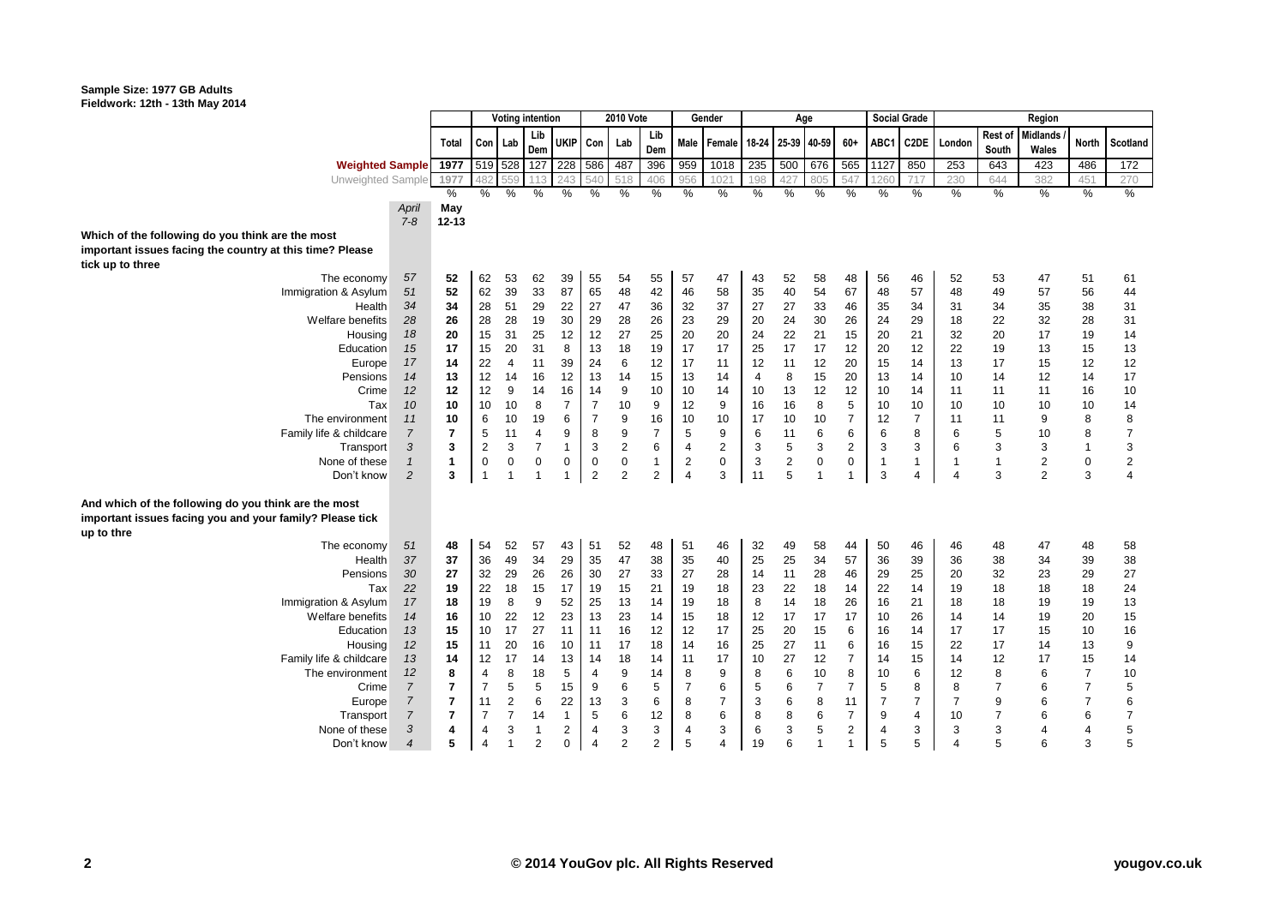#### **Sample Size: 1977 GB Adults Fieldwork: 12th - 13th May 2014**

|                                                          |                |                | <b>Voting intention</b> |                |                |                | <b>2010 Vote</b>        |                |                | Gender         |                   | Age |                |                           |                |                | Social Grade   | Region                 |                |                 |                |                |
|----------------------------------------------------------|----------------|----------------|-------------------------|----------------|----------------|----------------|-------------------------|----------------|----------------|----------------|-------------------|-----|----------------|---------------------------|----------------|----------------|----------------|------------------------|----------------|-----------------|----------------|----------------|
|                                                          |                |                |                         |                | Lib            |                |                         |                | Lib            |                |                   |     |                |                           |                |                |                |                        | <b>Rest of</b> | <b>Midlands</b> |                |                |
|                                                          |                | Total          | Con                     | Lab            | Dem            | <b>UKIP</b>    | Con                     | Lab            | Dem            |                | Male Female 18-24 |     | 25-39 40-59    |                           | $60+$          | ABC1           | C2DE           | London                 | South          | Wales           | <b>North</b>   | Scotland       |
| <b>Weighted Sample</b>                                   |                | 1977           | 519 528                 |                | 127            | 228            | 586                     | 487            | 396            | 959            | 1018              | 235 | 500            | 676                       | 565            | 1127           | 850            | 253                    | 643            | 423             | 486            | 172            |
| Unweighted Sample                                        |                | 1977           | 482                     | 559            | 113            | 243            | 540                     | 518            | 406            | 956            | 1021              | 198 | 427            | 805                       | 547            | 1260           | 717            | 230                    | 644            | 382             | 451            | 270            |
|                                                          |                | %              | $\%$                    | $\%$           | %              | %              | $\%$                    | %              | %              | $\%$           | $\%$              | %   | $\%$           | %                         | %              | %              | %              | $\frac{0}{0}$          | %              | $\%$            | $\%$           | $\%$           |
|                                                          | April          | May            |                         |                |                |                |                         |                |                |                |                   |     |                |                           |                |                |                |                        |                |                 |                |                |
|                                                          | $7 - 8$        | $12 - 13$      |                         |                |                |                |                         |                |                |                |                   |     |                |                           |                |                |                |                        |                |                 |                |                |
| Which of the following do you think are the most         |                |                |                         |                |                |                |                         |                |                |                |                   |     |                |                           |                |                |                |                        |                |                 |                |                |
| important issues facing the country at this time? Please |                |                |                         |                |                |                |                         |                |                |                |                   |     |                |                           |                |                |                |                        |                |                 |                |                |
| tick up to three                                         |                |                |                         |                |                |                |                         |                |                |                |                   |     |                |                           |                |                |                |                        |                |                 |                |                |
| The economy                                              | 57             | 52             | 62                      | 53             | 62             | 39             | 55                      | 54             | 55             | 57             | 47                | 43  | 52             | 58                        | 48             | 56             | 46             | 52                     | 53             | 47              | 51             | 61             |
| Immigration & Asylum                                     | 51             | 52             | 62                      | 39             | 33             | 87             | 65                      | 48             | 42             | 46             | 58                | 35  | 40             | 54                        | 67             | 48             | 57             | 48                     | 49             | 57              | 56             | 44             |
| Health                                                   | 34             | 34             | 28                      | 51             | 29             | 22             | 27                      | 47             | 36             | 32             | 37                | 27  | 27             | 33                        | 46             | 35             | 34             | 31                     | 34             | 35              | 38             | 31             |
| Welfare benefits                                         | 28             | 26             | 28                      | 28             | 19             | 30             | 29                      | 28             | 26             | 23             | 29                | 20  | 24             | 30                        | 26             | 24             | 29             | 18                     | 22             | 32              | 28             | 31             |
| Housing                                                  | 18             | 20             | 15                      | 31             | 25             | 12             | 12                      | 27             | 25             | 20             | 20                | 24  | 22             | 21                        | 15             | 20             | 21             | 32                     | 20             | 17              | 19             | 14             |
| Education                                                | 15             | 17             | 15                      | 20             | 31             | 8              | 13                      | 18             | 19             | 17             | 17                | 25  | 17             | 17                        | 12             | 20             | 12             | 22                     | 19             | 13              | 15             | 13             |
| Europe                                                   | 17             | 14             | 22                      | $\overline{4}$ | 11             | 39             | 24                      | 6              | 12             | 17             | 11                | 12  | 11             | 12                        | 20             | 15             | 14             | 13                     | 17             | 15              | 12             | 12             |
| Pensions                                                 | 14             | 13             | 12                      | 14             | 16             | 12             | 13                      | 14             | 15             | 13             | 14                | 4   | 8              | 15                        | 20             | 13             | 14             | 10                     | 14             | 12              | 14             | 17             |
| Crime                                                    | 12             | 12             | 12                      | 9              | 14             | 16             | 14                      | 9              | 10             | 10             | 14                | 10  | 13             | 12                        | 12             | 10             | 14             | 11                     | 11             | 11              | 16             | 10             |
| Tax                                                      | 10             | 10             | 10                      | 10             | 8              | $\overline{7}$ | $\overline{7}$          | 10             | 9              | 12             | 9                 | 16  | 16             | 8                         | 5              | 10             | 10             | 10                     | 10             | 10              | 10             | 14             |
| The environment                                          | 11             | 10             | 6                       | 10             | 19             | 6              | $\overline{7}$          | 9              | 16             | 10             | 10                | 17  | 10             | 10                        | $\overline{7}$ | 12             | $\overline{7}$ | 11                     | 11             | 9               | 8              | 8              |
| Family life & childcare                                  | $\overline{7}$ | $\overline{7}$ | 5                       | 11             | $\overline{4}$ | 9              | 8                       | 9              | $\overline{7}$ | 5              | 9                 | 6   | 11             | $\,6$                     | 6              | 6              | 8              | 6                      | 5              | 10              | 8              | $\overline{7}$ |
| Transport                                                | 3              | 3              | $\overline{c}$          | $\mathsf 3$    | $\overline{7}$ | $\mathbf{1}$   | 3                       | $\overline{2}$ | 6              | 4              | 2                 | 3   | 5              | $\ensuremath{\mathsf{3}}$ | $\overline{c}$ | 3              | 3              | 6                      | 3              | 3               | $\overline{1}$ | 3              |
| None of these                                            | $\mathbf{1}$   | $\mathbf{1}$   | $\mathbf 0$             | $\pmb{0}$      | $\mathbf 0$    | 0              | $\mathbf 0$             | $\mathbf 0$    | $\mathbf{1}$   | $\overline{2}$ | $\mathbf 0$       | 3   | $\overline{c}$ | $\pmb{0}$                 | $\pmb{0}$      | $\mathbf{1}$   | $\mathbf{1}$   | $\mathbf{1}$           | $\mathbf{1}$   | $\sqrt{2}$      | 0              | $\overline{2}$ |
| Don't know                                               | 2              | 3              | $\mathbf{1}$            | $\mathbf{1}$   | 1              | 1              | $\overline{2}$          | $\overline{2}$ | 2              | $\overline{4}$ | 3                 | 11  | 5              | $\overline{1}$            | 1              | 3              | 4              | $\overline{4}$         | 3              | $\overline{2}$  | 3              | $\overline{4}$ |
| And which of the following do you think are the most     |                |                |                         |                |                |                |                         |                |                |                |                   |     |                |                           |                |                |                |                        |                |                 |                |                |
| important issues facing you and your family? Please tick |                |                |                         |                |                |                |                         |                |                |                |                   |     |                |                           |                |                |                |                        |                |                 |                |                |
| up to thre                                               |                |                |                         |                |                |                |                         |                |                |                |                   |     |                |                           |                |                |                |                        |                |                 |                |                |
| The economy                                              | 51             | 48             | 54                      | 52             | 57             | 43             | 51                      | 52             | 48             | 51             | 46                | 32  | 49             | 58                        | 44             | 50             | 46             | 46                     | 48             | 47              | 48             | 58             |
| Health                                                   | 37             | 37             | 36                      | 49             | 34             | 29             | 35                      | 47             | 38             | 35             | 40                | 25  | 25             | 34                        | 57             | 36             | 39             | 36                     | 38             | 34              | 39             | 38             |
| Pensions                                                 | 30             | 27             | 32                      | 29             | 26             | 26             | 30                      | 27             | 33             | 27             | 28                | 14  | 11             | 28                        | 46             | 29             | 25             | 20                     | 32             | 23              | 29             | 27             |
| Tax                                                      | 22             | 19             | 22                      | 18             | 15             | 17             | 19                      | 15             | 21             | 19             | 18                | 23  | 22             | 18                        | 14             | 22             | 14             | 19                     | 18             | 18              | 18             | 24             |
| Immigration & Asylum                                     | 17             | 18             | 19                      | 8              | 9              | 52             | 25                      | 13             | 14             | 19             | 18                | 8   | 14             | 18                        | 26             | 16             | 21             | 18                     | 18             | 19              | 19             | 13             |
| Welfare benefits                                         | 14             | 16             | 10                      | 22             | 12             | 23             | 13                      | 23             | 14             | 15             | 18                | 12  | 17             | 17                        | 17             | 10             | 26             | 14                     | 14             | 19              | 20             | 15             |
| Education                                                | 13             | 15             | 10                      | 17             | 27             | 11             | 11                      | 16             | 12             | 12             | 17                | 25  | 20             | 15                        | 6              | 16             | 14             | 17                     | 17             | 15              | 10             | 16             |
| Housing                                                  | 12             | 15             | 11                      | 20             | 16             | 10             | 11                      | 17             | 18             | 14             | 16                | 25  | 27             | 11                        | 6              | 16             | 15             | 22                     | 17             | 14              | 13             | 9              |
| Family life & childcare                                  | 13             | 14             | 12                      | 17             | 14             | 13             | 14                      | 18             | 14             | 11             | 17                | 10  | 27             | 12                        | $\overline{7}$ | 14             | 15             | 14                     | 12             | 17              | 15             | 14             |
| The environment                                          | 12             | 8              | $\overline{4}$          | 8              | 18             | 5              | 4                       | 9              | 14             | 8              | 9                 | 8   | 6              | 10                        | 8              | 10             | 6              | 12                     | 8              | 6               | $\overline{7}$ | 10             |
| Crime                                                    | $\overline{7}$ | $\overline{7}$ | $\overline{7}$          | 5              | 5              | 15             | 9                       | 6              | 5              | $\overline{7}$ | 6                 | 5   | 6              | $\overline{7}$            | $\overline{7}$ | 5              | 8              | 8                      | $\overline{7}$ | 6               | $\overline{7}$ | 5              |
| Europe                                                   | $\overline{7}$ | $\overline{7}$ | 11                      | $\overline{2}$ | 6              | 22             | 13                      | 3              | 6              | 8              | $\overline{7}$    | 3   | 6              | 8                         | 11             | $\overline{7}$ | $\overline{7}$ | $\overline{7}$         | 9              | 6               | $\overline{7}$ | 6              |
| Transport                                                | $\overline{7}$ | $\overline{7}$ | $\overline{7}$          | $\overline{7}$ | 14             | $\mathbf{1}$   | 5                       | 6              | 12             | 8              | 6                 | 8   | 8              | $\,6$                     | $\overline{7}$ | 9              | $\overline{4}$ | 10                     | $\overline{7}$ | 6               | 6              | $\overline{7}$ |
| None of these                                            | 3              | 4              | 4                       | 3              | $\mathbf{1}$   | 2              | 4                       | 3              | 3              | $\overline{4}$ | 3                 | 6   | 3              | 5                         | 2              | 4              | 3              | 3                      | 3              |                 | 4              | 5              |
| Don't know                                               | $\overline{4}$ | 5              | 4                       | $\overline{1}$ | $\overline{2}$ | $\Omega$       | $\overline{\mathbf{4}}$ | $\overline{2}$ | 2              | 5              | 4                 | 19  | 6              | $\overline{1}$            | $\mathbf{1}$   | 5              | 5              | $\boldsymbol{\Lambda}$ | 5              | 6               | 3              | 5              |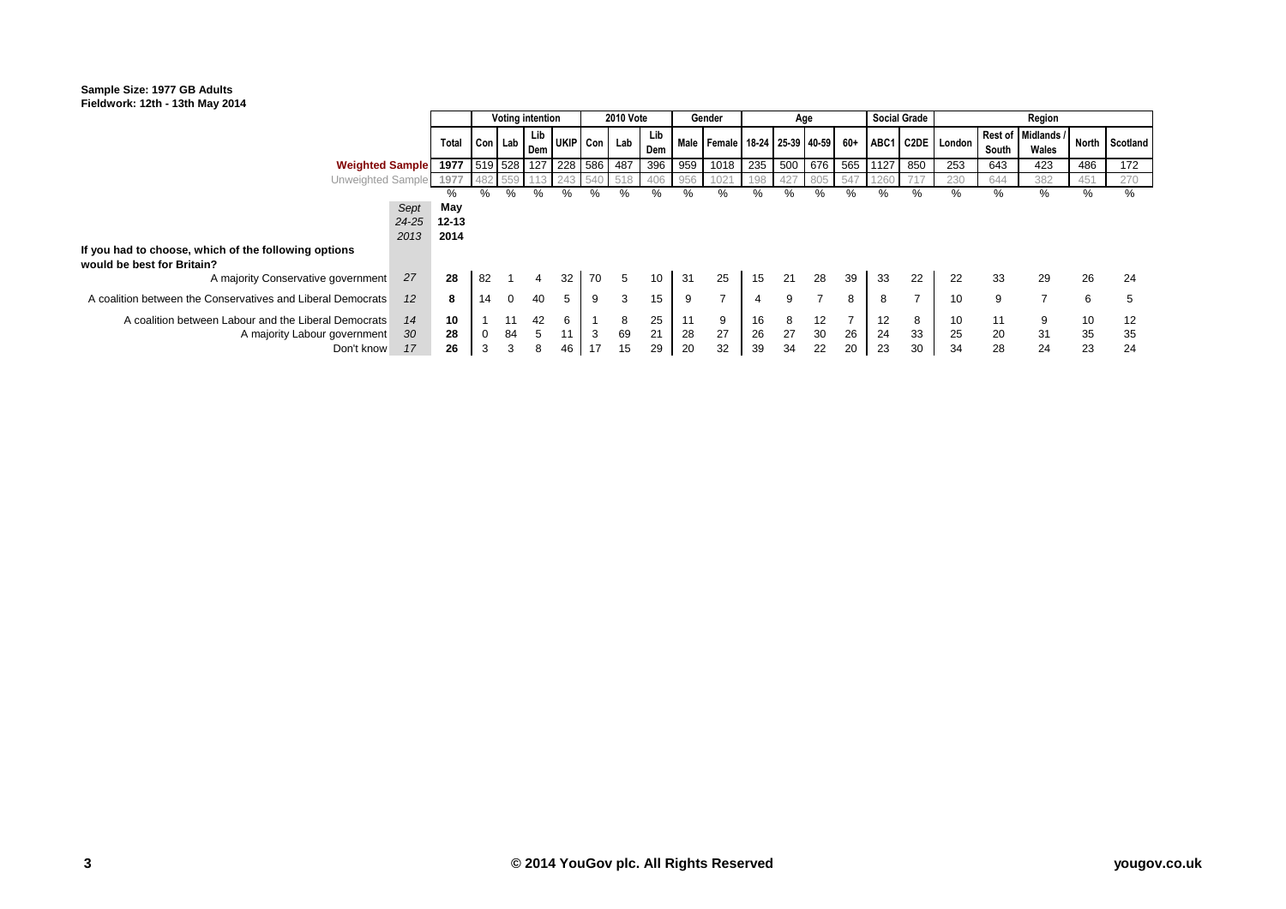#### **Sample Size: 1977 GB Adults Fieldwork: 12th - 13th May 2014**

|                                                                                      |                       |                              | <b>Voting intention</b> |          |            |         | <b>2010 Vote</b> |         |            | Gender |                                             | Age      |                 |          |    |          | <b>Social Grade</b> | Region           |          |                             |          |                |
|--------------------------------------------------------------------------------------|-----------------------|------------------------------|-------------------------|----------|------------|---------|------------------|---------|------------|--------|---------------------------------------------|----------|-----------------|----------|----|----------|---------------------|------------------|----------|-----------------------------|----------|----------------|
|                                                                                      |                       | Total                        | Con Lab                 |          | Lib<br>Dem |         | UKIP Con         | Lab     | Lib<br>Dem |        | Male   Female   18-24   25-39   40-59   60+ |          |                 |          |    |          |                     | ABC1 C2DE London | South    | Rest of Midlands /<br>Wales |          | North Scotland |
| <b>Weighted Sample</b>                                                               |                       | 1977 519 528 127 228 586 487 |                         |          |            |         |                  |         | 396        | 959    | 1018                                        |          | 235 500 676 565 |          |    | 1127     | 850                 | 253              | 643      | 423                         | 486      | 172            |
| Unweighted Sample                                                                    |                       | 197                          |                         |          |            |         |                  |         |            |        |                                             |          |                 |          |    |          |                     | 230              | 644      | 382                         | 451      | 270            |
|                                                                                      |                       | ℅                            | ℅                       | ℅        | ℅          | ℅       | %                | ℅       | ℅          | %      | %                                           | %        | ℅               | ℅        | %  | %        | ℅                   | ℅                | %        | ℅                           | %        | %              |
|                                                                                      | Sept<br>24-25<br>2013 | May<br>$12 - 13$<br>2014     |                         |          |            |         |                  |         |            |        |                                             |          |                 |          |    |          |                     |                  |          |                             |          |                |
| If you had to choose, which of the following options<br>would be best for Britain?   |                       |                              |                         |          |            |         |                  |         |            |        |                                             |          |                 |          |    |          |                     |                  |          |                             |          |                |
| A majority Conservative government                                                   | 27                    | 28                           | 82                      |          |            | 32      | 70               | 5       | 10         | 31     | 25                                          | 15       | 21              | 28       | 39 | 33       | 22                  | 22               | 33       | 29                          | 26       | 24             |
| A coalition between the Conservatives and Liberal Democrats                          | 12                    | 8                            | 14                      | $\Omega$ | 40         | 5       | 9                | 3       | 15         | 9      |                                             | 4        | 9               |          | 8  | 8        | $\overline{ }$      | 10               | 9        |                             | 6        |                |
| A coalition between Labour and the Liberal Democrats<br>A majority Labour government | 14<br>30              | 10<br>28                     | 0                       | 11<br>84 | 42<br>5    | 6<br>11 | 3                | 8<br>69 | 25<br>21   | 28     | 9<br>27                                     | 16<br>26 | 8<br>27         | 12<br>30 | 26 | 12<br>24 | 8<br>33             | 10<br>25         | 11<br>20 | 9<br>31                     | 10<br>35 | 12<br>35       |
| Don't know                                                                           | 17                    | 26                           | 3                       | 3        | 8          | 46      | 17               | 15      | 29         | 20     | 32                                          | 39       | 34              | 22       | 20 | 23       | 30                  | 34               | 28       | 24                          | 23       | 24             |